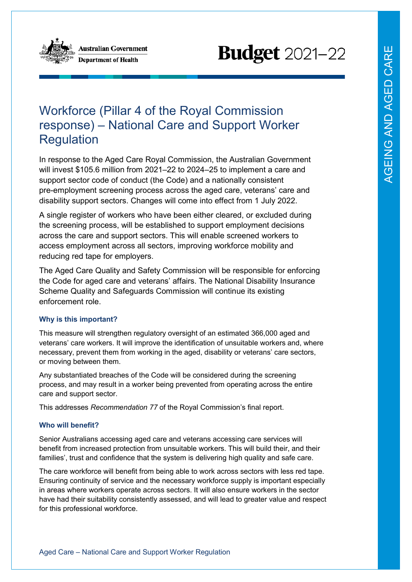

**Australian Government Department of Health** 

# **Budget** 2021-22

## Workforce (Pillar 4 of the Royal Commission response) – National Care and Support Worker **Regulation**

In response to the Aged Care Royal Commission, the Australian Government will invest \$105.6 million from 2021–22 to 2024–25 to implement a care and support sector code of conduct (the Code) and a nationally consistent pre-employment screening process across the aged care, veterans' care and disability support sectors. Changes will come into effect from 1 July 2022.

A single register of workers who have been either cleared, or excluded during the screening process, will be established to support employment decisions across the care and support sectors. This will enable screened workers to access employment across all sectors, improving workforce mobility and reducing red tape for employers.

The Aged Care Quality and Safety Commission will be responsible for enforcing the Code for aged care and veterans' affairs. The National Disability Insurance Scheme Quality and Safeguards Commission will continue its existing enforcement role.

### **Why is this important?**

This measure will strengthen regulatory oversight of an estimated 366,000 aged and veterans' care workers. It will improve the identification of unsuitable workers and, where necessary, prevent them from working in the aged, disability or veterans' care sectors, or moving between them.

Any substantiated breaches of the Code will be considered during the screening process, and may result in a worker being prevented from operating across the entire care and support sector.

This addresses *Recommendation 77* of the Royal Commission's final report.

### **Who will benefit?**

Senior Australians accessing aged care and veterans accessing care services will benefit from increased protection from unsuitable workers. This will build their, and their families', trust and confidence that the system is delivering high quality and safe care.

The care workforce will benefit from being able to work across sectors with less red tape. Ensuring continuity of service and the necessary workforce supply is important especially in areas where workers operate across sectors. It will also ensure workers in the sector have had their suitability consistently assessed, and will lead to greater value and respect for this professional workforce.